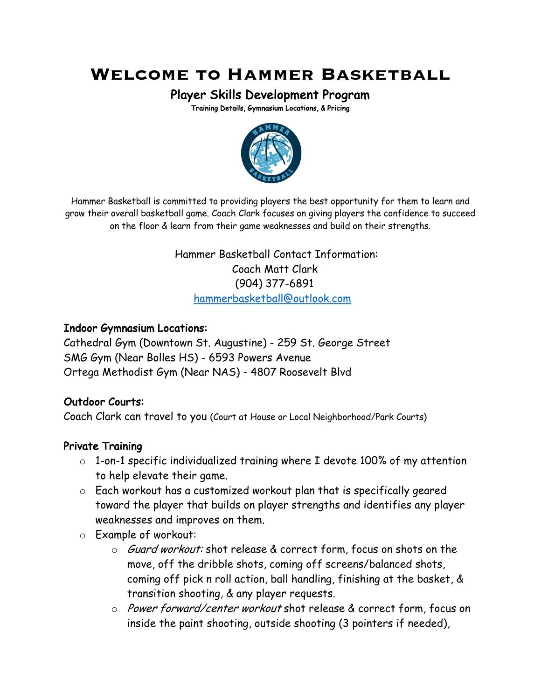# **Welcome to Hammer Basketball**

Player Skills Development Program<br>Training Details, Gymnasium Locations, & Pricing



 Hammer Basketball is committed to providing players the best opportunity for them to learn and grow their overall basketball game. Coach Clark focuses on giving players the confidence to succeed on the floor & learn from their game weaknesses and build on their strengths.

> Hammer Basketball Contact Information: Coach Matt Clark (904) 377-6891 hammerbasketball@outlook.com

#### Indoor Gymnasium Locations:

Cathedral Gym (Downtown St. Augustine) - 259 St. George Street SMG Gym (Near Bolles HS) - 6593 Powers Avenue Ortega Methodist Gym (Near NAS) - 4807 Roosevelt Blvd

#### Outdoor Courts:

Coach Clark can travel to you (Court at House or Local Neighborhood/Park Courts)

#### Private Training

- o 1-on-1 specific individualized training where I devote 100% of my attention to help elevate their game.
- o Each workout has a customized workout plan that is specifically geared toward the player that builds on player strengths and identifies any player weaknesses and improves on them.
- o Example of workout:
	- o *Guard workout:* shot release & correct form, focus on shots on the move, off the dribble shots, coming off screens/balanced shots, coming off pick n roll action, ball handling, finishing at the basket, & transition shooting, & any player requests.
	- o Power forward/center workout shot release & correct form, focus on inside the paint shooting, outside shooting (3 pointers if needed),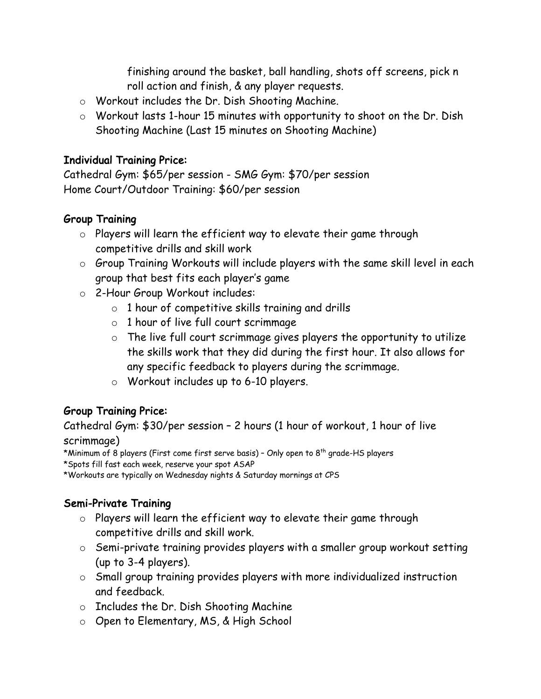finishing around the basket, ball handling, shots off screens, pick n roll action and finish, & any player requests.

- o Workout includes the Dr. Dish Shooting Machine.
- o Workout lasts 1-hour 15 minutes with opportunity to shoot on the Dr. Dish Shooting Machine (Last 15 minutes on Shooting Machine)

#### Individual Training Price:

Cathedral Gym: \$65/per session - SMG Gym: \$70/per session Home Court/Outdoor Training: \$60/per session

#### Group Training

- $\circ$  Players will learn the efficient way to elevate their game through competitive drills and skill work
- o Group Training Workouts will include players with the same skill level in each group that best fits each player's game
- o 2-Hour Group Workout includes:
	- $\circ$  1 hour of competitive skills training and drills
	- o 1 hour of live full court scrimmage
	- $\circ$  The live full court scrimmage gives players the opportunity to utilize the skills work that they did during the first hour. It also allows for any specific feedback to players during the scrimmage.
	- o Workout includes up to 6-10 players.

## Group Training Price:

Cathedral Gym: \$30/per session – 2 hours (1 hour of workout, 1 hour of live scrimmage)

\*Minimum of 8 players (First come first serve basis) - Only open to 8<sup>th</sup> grade-HS players

\*Spots fill fast each week, reserve your spot ASAP

\*Workouts are typically on Wednesday nights & Saturday mornings at CPS

## Semi-Private Training

- o Players will learn the efficient way to elevate their game through competitive drills and skill work.
- o Semi-private training provides players with a smaller group workout setting (up to 3-4 players).
- o Small group training provides players with more individualized instruction and feedback.
- o Includes the Dr. Dish Shooting Machine
- o Open to Elementary, MS, & High School